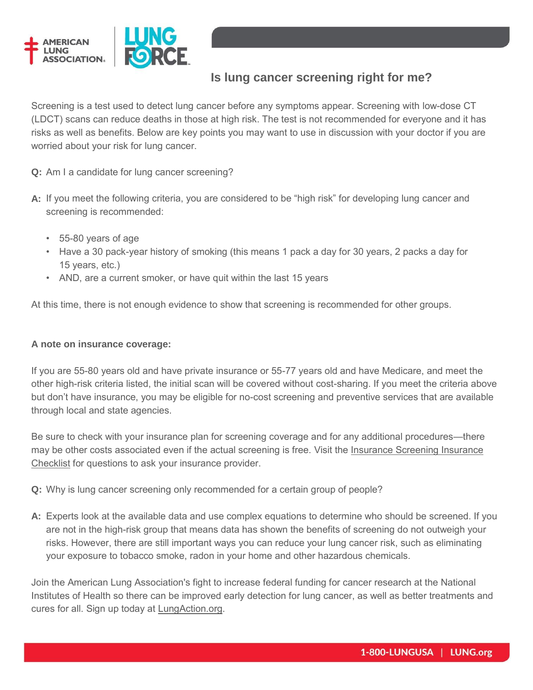

## **Is lung cancer screening right for me?**

Screening is a test used to detect lung cancer before any symptoms appear. Screening with low-dose CT (LDCT) scans can reduce deaths in those at high risk. The test is not recommended for everyone and it has risks as well as benefits. Below are key points you may want to use in discussion with your doctor if you are worried about your risk for lung cancer.

**Q:** Am I a candidate for lung cancer screening?

- **A:** If you meet the following criteria, you are considered to be "high risk" for developing lung cancer and screening is recommended:
	- 55-80 years of age
	- Have a 30 pack-year history of smoking (this means 1 pack a day for 30 years, 2 packs a day for 15 years, etc.)
	- AND, are a current smoker, or have quit within the last 15 years

At this time, there is not enough evidence to show that screening is recommended for other groups.

## **A note on insurance coverage:**

If you are 55-80 years old and have private insurance or 55-77 years old and have Medicare, and meet the other high-risk criteria listed, the initial scan will be covered without cost-sharing. If you meet the criteria above but don't have insurance, you may be eligible for no-cost screening and preventive services that are available through local and state agencies.

Be sure to check with your insurance plan for screening coverage and for any additional procedures—there may be other costs associated even if the actual screening is free. Visit the Insurance Screening Insurance [Checklist](http://www.lung.org/lung-disease/lung-cancer/learning-more-about-lung-cancer/diagnosing-lung-cancer/screening-insurance-checklist.html) for questions to ask your insurance provider.

**Q:** Why is lung cancer screening only recommended for a certain group of people?

**A:** Experts look at the available data and use complex equations to determine who should be screened. If you are not in the high-risk group that means data has shown the benefits of screening do not outweigh your risks. However, there are still important ways you can reduce your lung cancer risk, such as eliminating your exposure to tobacco smoke, radon in your home and other hazardous chemicals.

Join the American Lung Association's fight to increase federal funding for cancer research at the National Institutes of Health so there can be improved early detection for lung cancer, as well as better treatments and cures for all. Sign up today at [LungAction.org.](http://www.lung.org/get-involved/advocate/lung-action-network/)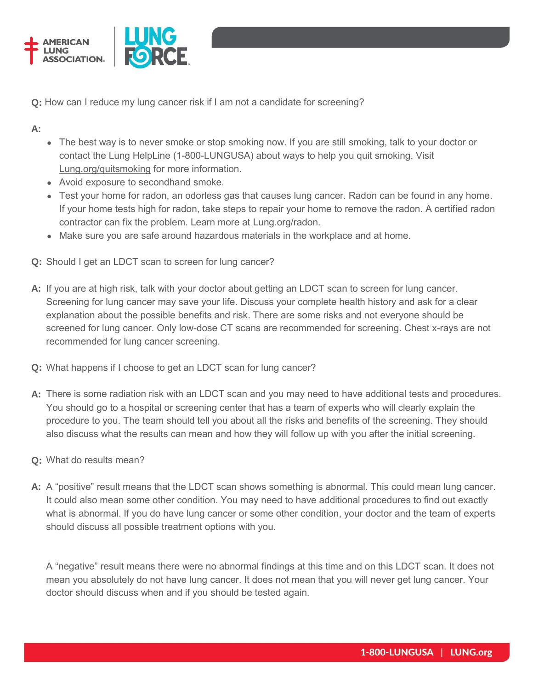



**Q:** How can I reduce my lung cancer risk if I am not a candidate for screening?

**A:** 

- The best way is to never smoke or stop smoking now. If you are still smoking, talk to your doctor or contact the Lung HelpLine (1-800-LUNGUSA) about ways to help you quit smoking. Visit [Lung.org/quitsmoking](http://www.lung.org/quitsmoking) for more information.
- Avoid exposure to secondhand smoke.
- Test your home for radon, an odorless gas that causes lung cancer. Radon can be found in any home. If your home tests high for radon, take steps to repair your home to remove the radon. A certified radon contractor can fix the problem. Learn more at [Lung.org/radon.](http://www.lung.org/radon)
- Make sure you are safe around hazardous materials in the workplace and at home.
- **Q:** Should I get an LDCT scan to screen for lung cancer?
- **A:** If you are at high risk, talk with your doctor about getting an LDCT scan to screen for lung cancer. Screening for lung cancer may save your life. Discuss your complete health history and ask for a clear explanation about the possible benefits and risk. There are some risks and not everyone should be screened for lung cancer. Only low-dose CT scans are recommended for screening. Chest x-rays are not recommended for lung cancer screening.
- **Q:** What happens if I choose to get an LDCT scan for lung cancer?
- **A:** There is some radiation risk with an LDCT scan and you may need to have additional tests and procedures. You should go to a hospital or screening center that has a team of experts who will clearly explain the procedure to you. The team should tell you about all the risks and benefits of the screening. They should also discuss what the results can mean and how they will follow up with you after the initial screening.
- **Q:** What do results mean?
- **A:** A "positive" result means that the LDCT scan shows something is abnormal. This could mean lung cancer. It could also mean some other condition. You may need to have additional procedures to find out exactly what is abnormal. If you do have lung cancer or some other condition, your doctor and the team of experts should discuss all possible treatment options with you.

 A "negative" result means there were no abnormal findings at this time and on this LDCT scan. It does not mean you absolutely do not have lung cancer. It does not mean that you will never get lung cancer. Your doctor should discuss when and if you should be tested again.